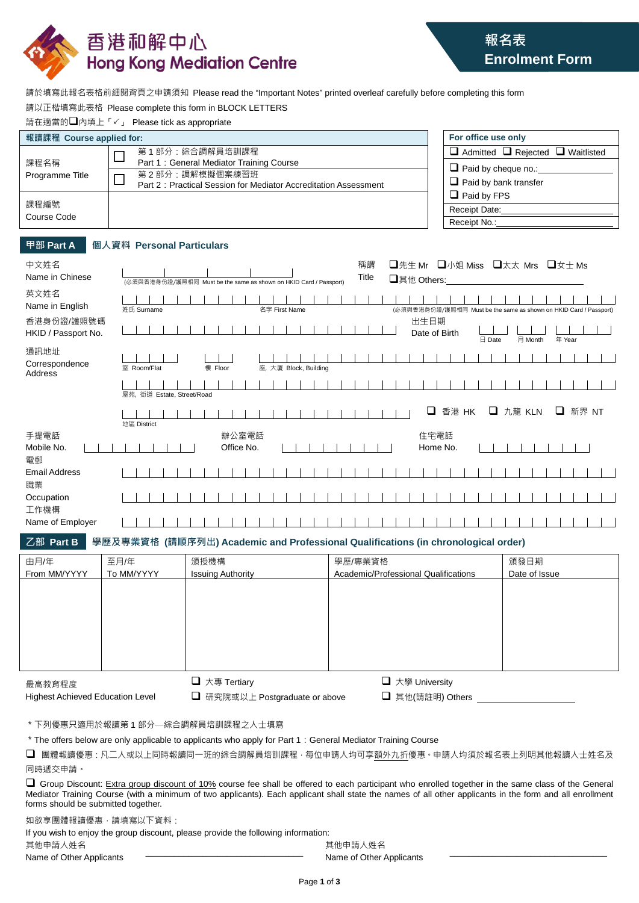

請於填寫此報名表格前細閱背頁之申請須知 Please read the "Important Notes" printed overleaf carefully before completing this form

| 請以正楷填寫此表格 Please complete this form in BLOCK LETTERS |  |  |  |  |
|------------------------------------------------------|--|--|--|--|
|------------------------------------------------------|--|--|--|--|

請在適當的□內填上「√」 Please tick as appropriate

| 報讀課程 Course applied for: |                                                                 | For office use only                               |
|--------------------------|-----------------------------------------------------------------|---------------------------------------------------|
| 課程名稱<br>Programme Title  | 第1部分:綜合調解員培訓課程                                                  | $\Box$ Admitted $\Box$ Rejected $\Box$ Waitlisted |
|                          | Part 1: General Mediator Training Course                        | $\Box$ Paid by cheque no.:                        |
|                          | 第2部分:調解模擬個案練習班                                                  |                                                   |
|                          | Part 2: Practical Session for Mediator Accreditation Assessment | $\Box$ Paid by bank transfer                      |
| 課程編號                     |                                                                 | $\Box$ Paid by FPS                                |
|                          |                                                                 | Receipt Date:                                     |
| Course Code              |                                                                 | Receipt No.:                                      |

## **甲部 Part A 個人資料 Personal Particulars**

| 中文姓名<br>Name in Chinese           | □先生 Mr □小姐 Miss □太太 Mrs □女士 Ms<br>稱謂<br>Title<br>□其他 Others:<br>(必須與香港身份證/護照相同 Must be the same as shown on HKID Card / Passport) |  |
|-----------------------------------|-----------------------------------------------------------------------------------------------------------------------------------|--|
| 英文姓名<br>Name in English           | 姓氏 Surname<br>名字 First Name<br>(必須與香港身份證/護照相同 Must be the same as shown on HKID Card / Passport)                                  |  |
| 香港身份證/護照號碼<br>HKID / Passport No. | 出生日期<br>Date of Birth<br>月 Month<br>年 Year<br>日 Date                                                                              |  |
| 通訊地址<br>Correspondence<br>Address | 樓 Floor<br>室 Room/Flat<br>座, 大廈 Block, Building                                                                                   |  |
|                                   | 屋苑, 街道 Estate, Street/Road                                                                                                        |  |
|                                   | □ 九龍 KLN<br>□<br>香港 HK<br>❏<br>新界 NT<br>地區 District                                                                               |  |
| 手提電話<br>Mobile No.                | 辦公室電話<br>住宅電話<br>Office No.<br>Home No.                                                                                           |  |
| 電郵<br><b>Email Address</b>        |                                                                                                                                   |  |
| 職業<br>Occupation                  |                                                                                                                                   |  |
| 工作機構<br>Name of Employer          |                                                                                                                                   |  |

**乙部 Part B 學歷及專業資格 (請順序列出) Academic and Professional Qualifications (in chronological order)**

| 由月/年<br>至月/年               | 頒授機構                     | 學歷/專業資格                              | 頒發日期          |
|----------------------------|--------------------------|--------------------------------------|---------------|
| From MM/YYYY<br>To MM/YYYY | <b>Issuing Authority</b> | Academic/Professional Qualifications | Date of Issue |
|                            |                          |                                      |               |
|                            |                          |                                      |               |
|                            |                          |                                      |               |
|                            |                          |                                      |               |
|                            |                          |                                      |               |
|                            |                          |                                      |               |
|                            |                          |                                      |               |
|                            |                          |                                      |               |
| 最高教育程度                     | $\Box$ 大專 Tertiary       | □ 大學 University                      |               |

最高教育程度 Highest Achieved Education Level

| $\rightarrow$ $\rightarrow$ $\rightarrow$ $\rightarrow$ $\rightarrow$ $\rightarrow$ |
|-------------------------------------------------------------------------------------|
| □ 研究院或以上 Postgraduate or above                                                      |

**□** 大學 University

**□** 其他(請註明) Others

\*下列優惠只適用於報讀第 1 部分―綜合調解員培訓課程之人士填寫

\*The offers below are only applicable to applicants who apply for Part 1:General Mediator Training Course

■ 團體報讀優惠:凡二人或以上同時報讀同一班的綜合調解員培訓課程,每位申請人均可享額外九折優惠。申請人均須於報名表上列明其他報讀人士姓名及 同時遞交申請。

Group Discount: Extra group discount of 10% course fee shall be offered to each participant who enrolled together in the same class of the General Mediator Training Course (with a minimum of two applicants). Each applicant shall state the names of all other applicants in the form and all enrollment forms should be submitted together.

如欲享團體報讀優惠,請填寫以下資料:

| If you wish to enjoy the group discount, please provide the following information: |                          |  |
|------------------------------------------------------------------------------------|--------------------------|--|
| 其他申請人姓名                                                                            | 其他申請人姓名                  |  |
| Name of Other Applicants                                                           | Name of Other Applicants |  |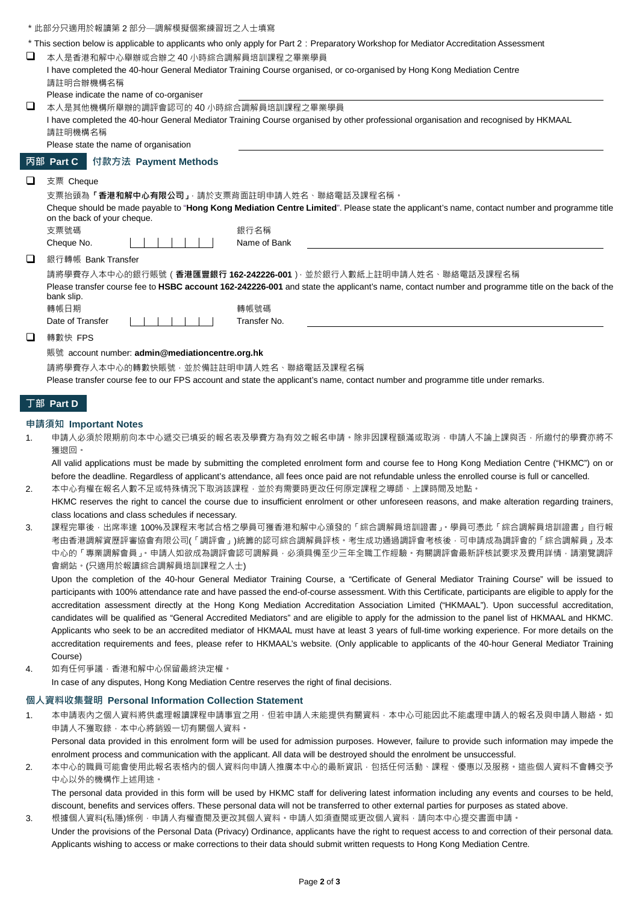|                                                                                                                                                 | *此部分只滴用於報讀第2部分—調解模擬個案練習班之人十填寫                                                                                                                |  |
|-------------------------------------------------------------------------------------------------------------------------------------------------|----------------------------------------------------------------------------------------------------------------------------------------------|--|
|                                                                                                                                                 | * This section below is applicable to applicants who only apply for Part 2: Preparatory Workshop for Mediator Accreditation Assessment       |  |
| ப                                                                                                                                               | 本人是香港和解中心舉辦或合辦之 40 小時綜合調解員培訓課程之畢業學員                                                                                                          |  |
|                                                                                                                                                 | I have completed the 40-hour General Mediator Training Course organised, or co-organised by Hong Kong Mediation Centre                       |  |
|                                                                                                                                                 | 請註明合辦機構名稱                                                                                                                                    |  |
|                                                                                                                                                 | Please indicate the name of co-organiser                                                                                                     |  |
| ப                                                                                                                                               | 本人是其他機構所舉辦的調評會認可的 40 小時綜合調解員培訓課程之畢業學員                                                                                                        |  |
|                                                                                                                                                 | I have completed the 40-hour General Mediator Training Course organised by other professional organisation and recognised by HKMAAL          |  |
|                                                                                                                                                 | 請註明機構名稱                                                                                                                                      |  |
|                                                                                                                                                 | Please state the name of organisation                                                                                                        |  |
|                                                                                                                                                 | 丙部 Part C<br>付款方法 Payment Methods                                                                                                            |  |
|                                                                                                                                                 | 支票 Cheque                                                                                                                                    |  |
|                                                                                                                                                 | 支票抬頭為「香港和解中心有限公司」 請於支票背面註明申請人姓名、聯絡電話及課程名稱。                                                                                                   |  |
|                                                                                                                                                 | Cheque should be made payable to "Hong Kong Mediation Centre Limited". Please state the applicant's name, contact number and programme title |  |
|                                                                                                                                                 | on the back of your cheque.                                                                                                                  |  |
|                                                                                                                                                 | 支票號碼<br>銀行名稱                                                                                                                                 |  |
|                                                                                                                                                 | Name of Bank<br>Cheque No.                                                                                                                   |  |
|                                                                                                                                                 | 銀行轉帳 Bank Transfer                                                                                                                           |  |
|                                                                                                                                                 | 請將學費存入本中心的銀行賬號( <b>香港匯豐銀行 162-242226-001</b> )· 並於銀行入數紙上註明申請人姓名、聯絡電話及課程名稱                                                                    |  |
| Please transfer course fee to HSBC account 162-242226-001 and state the applicant's name, contact number and programme title on the back of the |                                                                                                                                              |  |
|                                                                                                                                                 | bank slip.                                                                                                                                   |  |
|                                                                                                                                                 | 轉帳日期<br>轉帳號碼                                                                                                                                 |  |

□ 轉數快 FPS

Date of Transfer

#### 賬號 account number: **admin@mediationcentre.org.hk**

1 1 1 1 1 1 1

請將學費存入本中心的轉數快賬號,並於備註註明申請人姓名、聯絡電話及課程名稱

Please transfer course fee to our FPS account and state the applicant's name, contact number and programme title under remarks.

Transfer No.

# **丁部 Part D**

### **申請須知 Important Notes**

1. 申請人必須於限期前向本中心遞交已填妥的報名表及學費方為有效之報名申請。除非因課程額滿或取消,申請人不論上課與否,所繳付的學費亦將不 獲退回。

All valid applications must be made by submitting the completed enrolment form and course fee to Hong Kong Mediation Centre ("HKMC") on or before the deadline. Regardless of applicant's attendance, all fees once paid are not refundable unless the enrolled course is full or cancelled. 2. 本中心有權在報名人數不足或特殊情況下取消該課程,並於有需要時更改任何原定課程之導師、上課時間及地點。

- HKMC reserves the right to cancel the course due to insufficient enrolment or other unforeseen reasons, and make alteration regarding trainers, class locations and class schedules if necessary.
- 3. 課程完畢後,出席率達 100%及課程末考試合格之學員可獲香港和解中心頒發的「綜合調解員培訓讚書」。學員可憑此「綜合調解員培訓證書」自行報 考由香港調解資歷評審協會有限公司(「調評會」)統籌的認可綜合調解員評核。考生成功通過調評會考核後,可申請成為調評會的「綜合調解員」及本 中心的「專業調解會員」。申請人如欲成為調評會認可調解員,必須具備至少三年全職工作經驗。有關調評會最新評核試要求及費用詳情,請瀏覽調評 會網站。(只適用於報讀綜合調解員培訓課程之人士)

Upon the completion of the 40-hour General Mediator Training Course, a "Certificate of General Mediator Training Course" will be issued to participants with 100% attendance rate and have passed the end-of-course assessment. With this Certificate, participants are eligible to apply for the accreditation assessment directly at the Hong Kong Mediation Accreditation Association Limited ("HKMAAL"). Upon successful accreditation, candidates will be qualified as "General Accredited Mediators" and are eligible to apply for the admission to the panel list of HKMAAL and HKMC. Applicants who seek to be an accredited mediator of HKMAAL must have at least 3 years of full-time working experience. For more details on the accreditation requirements and fees, please refer to HKMAAL's website. (Only applicable to applicants of the 40-hour General Mediator Training Course)

4. 如有任何爭議,香港和解中心保留最終決定權。

In case of any disputes, Hong Kong Mediation Centre reserves the right of final decisions.

## **個人資料收集聲明 Personal Information Collection Statement**

1. 本申請表內之個人資料將供處理報讀課程申請事宜之用,但若申請人未能提供有關資料,本中心可能因此不能處理申請人的報名及與申請人聯絡。如 申請人不獲取錄,本中心將銷毀一切有關個人資料。 Personal data provided in this enrolment form will be used for admission purposes. However, failure to provide such information may impede the

enrolment process and communication with the applicant. All data will be destroyed should the enrolment be unsuccessful.

2. 本中心的職員可能會使用此報名表格內的個人資料向申請人推廣本中心的最新資訊 · 包括任何活動、課程、優惠以及服務 · 這些個人資料不會轉交予 中心以外的機構作上述用途。

The personal data provided in this form will be used by HKMC staff for delivering latest information including any events and courses to be held, discount, benefits and services offers. These personal data will not be transferred to other external parties for purposes as stated above.

3. 根據個人資料(私隱)條例,申請人有權查閱及更改其個人資料。申請人如須查閱或更改個人資料,請向本中心提交書面申請。 Under the provisions of the Personal Data (Privacy) Ordinance, applicants have the right to request access to and correction of their personal data. Applicants wishing to access or make corrections to their data should submit written requests to Hong Kong Mediation Centre.